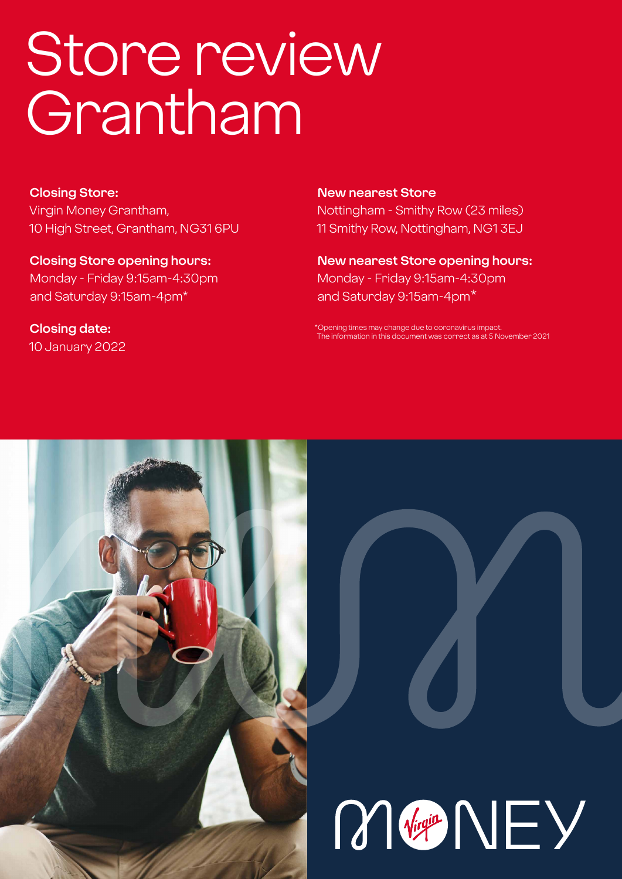# Store review Grantham

**Closing Store:** Virgin Money Grantham, 10 High Street, Grantham, NG31 6PU

**Closing Store opening hours:**  Monday - Friday 9:15am-4:30pm and Saturday 9:15am-4pm\*

**Closing date:**  10 January 2022

**New nearest Store** Nottingham - Smithy Row (23 miles) 11 Smithy Row, Nottingham, NG1 3EJ

**New nearest Store opening hours:** Monday - Friday 9:15am-4:30pm and Saturday 9:15am-4pm\*

\*Opening times may change due to coronavirus impact. The information in this document was correct as at 5 November 2021



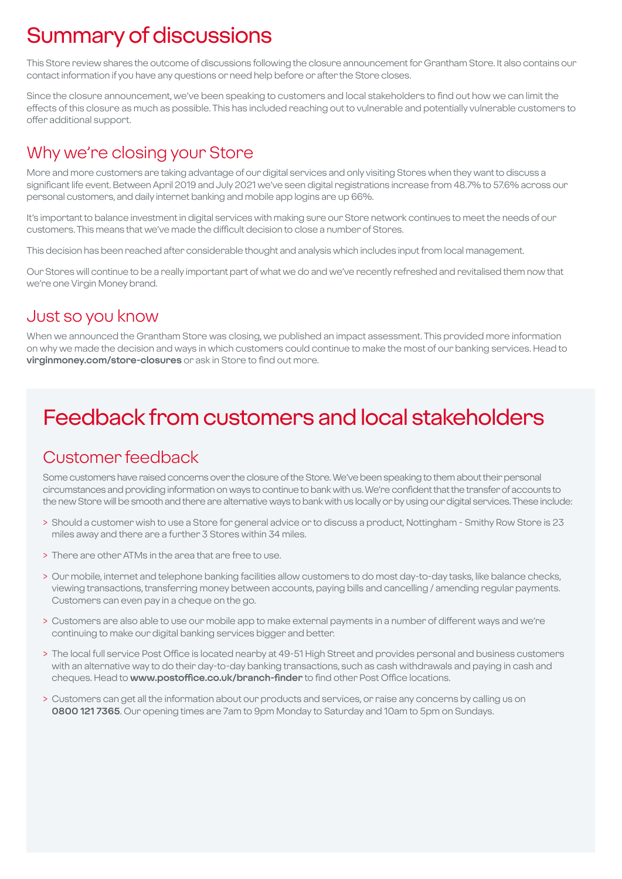# Summary of discussions

This Store review shares the outcome of discussions following the closure announcement for Grantham Store. It also contains our contact information if you have any questions or need help before or after the Store closes.

Since the closure announcement, we've been speaking to customers and local stakeholders to find out how we can limit the effects of this closure as much as possible. This has included reaching out to vulnerable and potentially vulnerable customers to offer additional support.

### Why we're closing your Store

More and more customers are taking advantage of our digital services and only visiting Stores when they want to discuss a significant life event. Between April 2019 and July 2021 we've seen digital registrations increase from 48.7% to 57.6% across our personal customers, and daily internet banking and mobile app logins are up 66%.

It's important to balance investment in digital services with making sure our Store network continues to meet the needs of our customers. This means that we've made the difficult decision to close a number of Stores.

This decision has been reached after considerable thought and analysis which includes input from local management.

Our Stores will continue to be a really important part of what we do and we've recently refreshed and revitalised them now that we're one Virgin Money brand.

### Just so you know

When we announced the Grantham Store was closing, we published an impact assessment. This provided more information on why we made the decision and ways in which customers could continue to make the most of our banking services. Head to **virginmoney.com/store-closures** or ask in Store to find out more.

# Feedback from customers and local stakeholders

### Customer feedback

Some customers have raised concerns over the closure of the Store. We've been speaking to them about their personal circumstances and providing information on ways to continue to bank with us. We're confident that the transfer of accounts to the new Store will be smooth and there are alternative ways to bank with us locally or by using our digital services. These include:

- > Should a customer wish to use a Store for general advice or to discuss a product, Nottingham Smithy Row Store is 23 miles away and there are a further 3 Stores within 34 miles.
- > There are other ATMs in the area that are free to use.
- > Our mobile, internet and telephone banking facilities allow customers to do most day-to-day tasks, like balance checks, viewing transactions, transferring money between accounts, paying bills and cancelling / amending regular payments. Customers can even pay in a cheque on the go.
- > Customers are also able to use our mobile app to make external payments in a number of different ways and we're continuing to make our digital banking services bigger and better.
- > The local full service Post Office is located nearby at 49-51 High Street and provides personal and business customers with an alternative way to do their day-to-day banking transactions, such as cash withdrawals and paying in cash and cheques. Head to **www.postoffice.co.uk/branch-finder** to find other Post Office locations.
- > Customers can get all the information about our products and services, or raise any concerns by calling us on **0800 121 7365**. Our opening times are 7am to 9pm Monday to Saturday and 10am to 5pm on Sundays.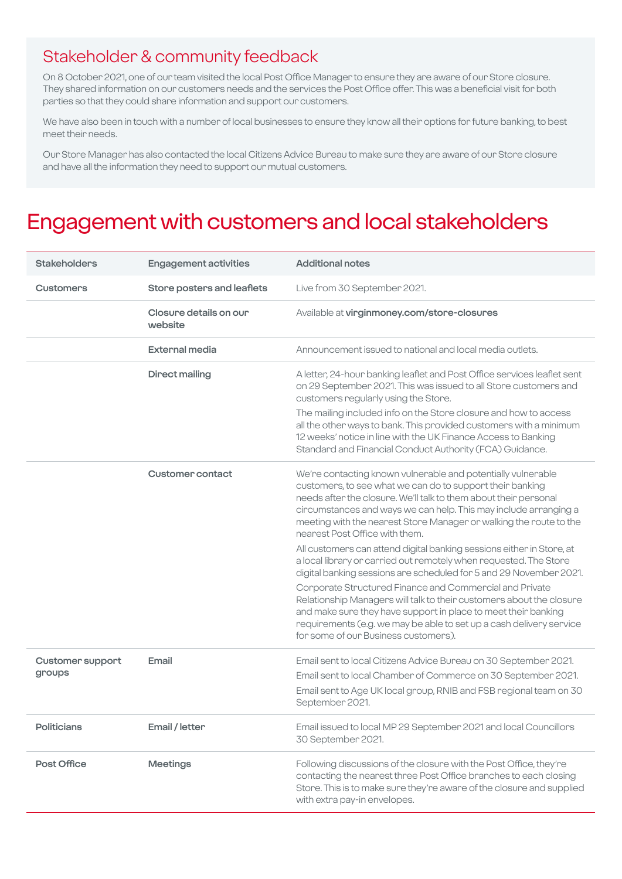### Stakeholder & community feedback

On 8 October 2021, one of our team visited the local Post Office Manager to ensure they are aware of our Store closure. They shared information on our customers needs and the services the Post Office offer. This was a beneficial visit for both parties so that they could share information and support our customers.

We have also been in touch with a number of local businesses to ensure they know all their options for future banking, to best meet their needs.

Our Store Manager has also contacted the local Citizens Advice Bureau to make sure they are aware of our Store closure and have all the information they need to support our mutual customers.

### Engagement with customers and local stakeholders

| <b>Stakeholders</b>               | <b>Engagement activities</b>      | <b>Additional notes</b>                                                                                                                                                                                                                                                                                                                                                   |
|-----------------------------------|-----------------------------------|---------------------------------------------------------------------------------------------------------------------------------------------------------------------------------------------------------------------------------------------------------------------------------------------------------------------------------------------------------------------------|
| <b>Customers</b>                  | Store posters and leaflets        | Live from 30 September 2021.                                                                                                                                                                                                                                                                                                                                              |
|                                   | Closure details on our<br>website | Available at virginmoney.com/store-closures                                                                                                                                                                                                                                                                                                                               |
|                                   | External media                    | Announcement issued to national and local media outlets.                                                                                                                                                                                                                                                                                                                  |
|                                   | <b>Direct mailing</b>             | A letter, 24-hour banking leaflet and Post Office services leaflet sent<br>on 29 September 2021. This was issued to all Store customers and<br>customers regularly using the Store.                                                                                                                                                                                       |
|                                   |                                   | The mailing included info on the Store closure and how to access<br>all the other ways to bank. This provided customers with a minimum<br>12 weeks' notice in line with the UK Finance Access to Banking<br>Standard and Financial Conduct Authority (FCA) Guidance.                                                                                                      |
|                                   | Customer contact                  | We're contacting known vulnerable and potentially vulnerable<br>customers, to see what we can do to support their banking<br>needs after the closure. We'll talk to them about their personal<br>circumstances and ways we can help. This may include arranging a<br>meeting with the nearest Store Manager or walking the route to the<br>nearest Post Office with them. |
|                                   |                                   | All customers can attend digital banking sessions either in Store, at<br>a local library or carried out remotely when requested. The Store<br>digital banking sessions are scheduled for 5 and 29 November 2021.<br>Corporate Structured Finance and Commercial and Private<br>Relationship Managers will talk to their customers about the closure                       |
|                                   |                                   | and make sure they have support in place to meet their banking<br>requirements (e.g. we may be able to set up a cash delivery service<br>for some of our Business customers).                                                                                                                                                                                             |
| <b>Customer support</b><br>groups | Email                             | Email sent to local Citizens Advice Bureau on 30 September 2021.<br>Email sent to local Chamber of Commerce on 30 September 2021.<br>Email sent to Age UK local group, RNIB and FSB regional team on 30<br>September 2021.                                                                                                                                                |
| <b>Politicians</b>                | Email / letter                    | Email issued to local MP 29 September 2021 and local Councillors<br>30 September 2021.                                                                                                                                                                                                                                                                                    |
| Post Office                       | <b>Meetings</b>                   | Following discussions of the closure with the Post Office, they're<br>contacting the nearest three Post Office branches to each closing<br>Store. This is to make sure they're aware of the closure and supplied<br>with extra pay-in envelopes.                                                                                                                          |